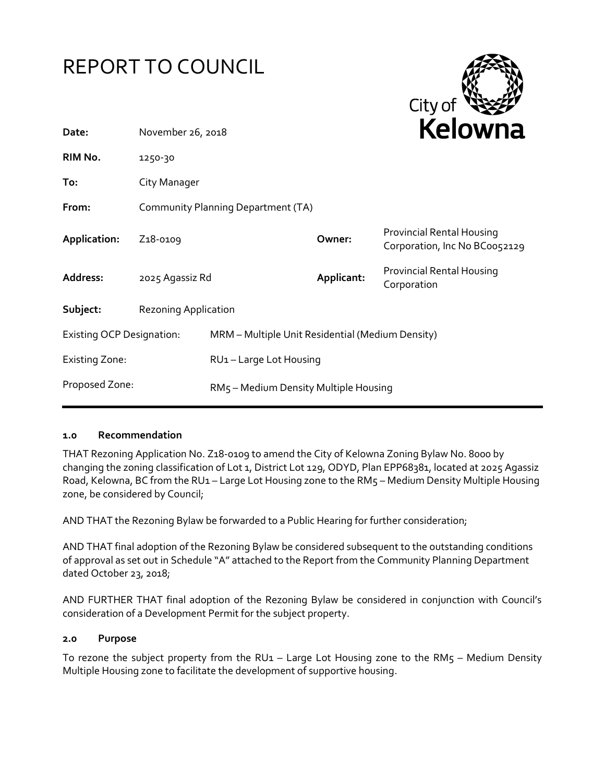



| Date:                            | November 26, 2018                  |                                                  | <b>NEIUWIId</b> |                                                                   |
|----------------------------------|------------------------------------|--------------------------------------------------|-----------------|-------------------------------------------------------------------|
| RIM No.                          | 1250-30                            |                                                  |                 |                                                                   |
| To:                              | City Manager                       |                                                  |                 |                                                                   |
| From:                            | Community Planning Department (TA) |                                                  |                 |                                                                   |
| Application:                     | Z <sub>1</sub> 8-0109              |                                                  | Owner:          | <b>Provincial Rental Housing</b><br>Corporation, Inc No BC0052129 |
| Address:                         | 2025 Agassiz Rd                    |                                                  | Applicant:      | Provincial Rental Housing<br>Corporation                          |
| Subject:                         | <b>Rezoning Application</b>        |                                                  |                 |                                                                   |
| <b>Existing OCP Designation:</b> |                                    | MRM - Multiple Unit Residential (Medium Density) |                 |                                                                   |
| <b>Existing Zone:</b>            |                                    | RU1-Large Lot Housing                            |                 |                                                                   |
| Proposed Zone:                   |                                    | RM5 - Medium Density Multiple Housing            |                 |                                                                   |

#### **1.0 Recommendation**

THAT Rezoning Application No. Z18-0109 to amend the City of Kelowna Zoning Bylaw No. 8000 by changing the zoning classification of Lot 1, District Lot 129, ODYD, Plan EPP68381, located at 2025 Agassiz Road, Kelowna, BC from the RU1 – Large Lot Housing zone to the RM5 – Medium Density Multiple Housing zone, be considered by Council;

AND THAT the Rezoning Bylaw be forwarded to a Public Hearing for further consideration;

AND THAT final adoption of the Rezoning Bylaw be considered subsequent to the outstanding conditions of approval as set out in Schedule "A" attached to the Report from the Community Planning Department dated October 23, 2018;

AND FURTHER THAT final adoption of the Rezoning Bylaw be considered in conjunction with Council's consideration of a Development Permit for the subject property.

#### **2.0 Purpose**

To rezone the subject property from the RU1 – Large Lot Housing zone to the RM $5$  – Medium Density Multiple Housing zone to facilitate the development of supportive housing.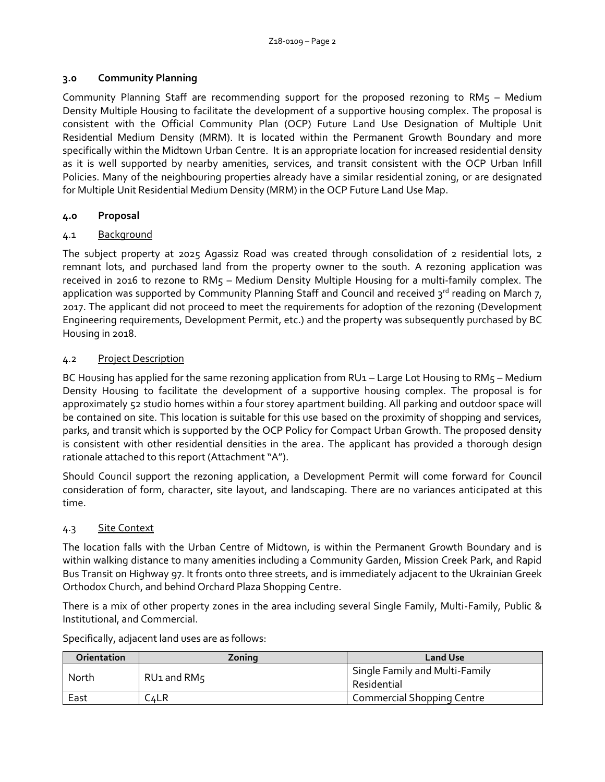### **3.0 Community Planning**

Community Planning Staff are recommending support for the proposed rezoning to RM5 – Medium Density Multiple Housing to facilitate the development of a supportive housing complex. The proposal is consistent with the Official Community Plan (OCP) Future Land Use Designation of Multiple Unit Residential Medium Density (MRM). It is located within the Permanent Growth Boundary and more specifically within the Midtown Urban Centre. It is an appropriate location for increased residential density as it is well supported by nearby amenities, services, and transit consistent with the OCP Urban Infill Policies. Many of the neighbouring properties already have a similar residential zoning, or are designated for Multiple Unit Residential Medium Density (MRM) in the OCP Future Land Use Map.

## **4.0 Proposal**

# 4.1 Background

The subject property at 2025 Agassiz Road was created through consolidation of 2 residential lots, 2 remnant lots, and purchased land from the property owner to the south. A rezoning application was received in 2016 to rezone to RM5 – Medium Density Multiple Housing for a multi-family complex. The application was supported by Community Planning Staff and Council and received  $3^{rd}$  reading on March 7, 2017. The applicant did not proceed to meet the requirements for adoption of the rezoning (Development Engineering requirements, Development Permit, etc.) and the property was subsequently purchased by BC Housing in 2018.

# 4.2 Project Description

BC Housing has applied for the same rezoning application from RU1 – Large Lot Housing to RM5 – Medium Density Housing to facilitate the development of a supportive housing complex. The proposal is for approximately 52 studio homes within a four storey apartment building. All parking and outdoor space will be contained on site. This location is suitable for this use based on the proximity of shopping and services, parks, and transit which is supported by the OCP Policy for Compact Urban Growth. The proposed density is consistent with other residential densities in the area. The applicant has provided a thorough design rationale attached to this report (Attachment "A").

Should Council support the rezoning application, a Development Permit will come forward for Council consideration of form, character, site layout, and landscaping. There are no variances anticipated at this time.

## 4.3 Site Context

The location falls with the Urban Centre of Midtown, is within the Permanent Growth Boundary and is within walking distance to many amenities including a Community Garden, Mission Creek Park, and Rapid Bus Transit on Highway 97. It fronts onto three streets, and is immediately adjacent to the Ukrainian Greek Orthodox Church, and behind Orchard Plaza Shopping Centre.

There is a mix of other property zones in the area including several Single Family, Multi-Family, Public & Institutional, and Commercial.

| Orientation | Zonina      | <b>Land Use</b>                               |
|-------------|-------------|-----------------------------------------------|
| North       | RU1 and RM5 | Single Family and Multi-Family<br>Residential |
| East        | C∡LR        | <b>Commercial Shopping Centre</b>             |

Specifically, adjacent land uses are as follows: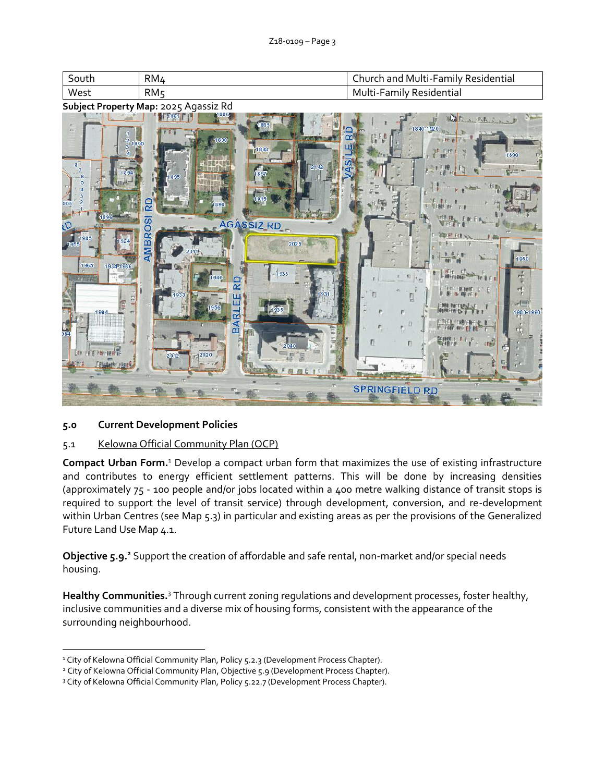| South | RM4             | Church and Multi-Family Residential |
|-------|-----------------|-------------------------------------|
| West  | RM <sub>5</sub> | Multi-Family Residential            |

**Subject Property Map:** 2025 Agassiz Rd



## **5.0 Current Development Policies**

-

## 5.1 Kelowna Official Community Plan (OCP)

**Compact Urban Form.**<sup>1</sup> Develop a compact urban form that maximizes the use of existing infrastructure and contributes to energy efficient settlement patterns. This will be done by increasing densities (approximately 75 - 100 people and/or jobs located within a 400 metre walking distance of transit stops is required to support the level of transit service) through development, conversion, and re-development within Urban Centres (see Map 5.3) in particular and existing areas as per the provisions of the Generalized Future Land Use Map 4.1.

**Objective 5.9.<sup>2</sup>** Support the creation of affordable and safe rental, non-market and/or special needs housing.

**Healthy Communities.**<sup>3</sup> Through current zoning regulations and development processes, foster healthy, inclusive communities and a diverse mix of housing forms, consistent with the appearance of the surrounding neighbourhood.

<sup>&</sup>lt;sup>1</sup> City of Kelowna Official Community Plan, Policy 5.2.3 (Development Process Chapter).

<sup>&</sup>lt;sup>2</sup> City of Kelowna Official Community Plan, Objective 5.9 (Development Process Chapter).

<sup>&</sup>lt;sup>3</sup> City of Kelowna Official Community Plan, Policy 5.22.7 (Development Process Chapter).